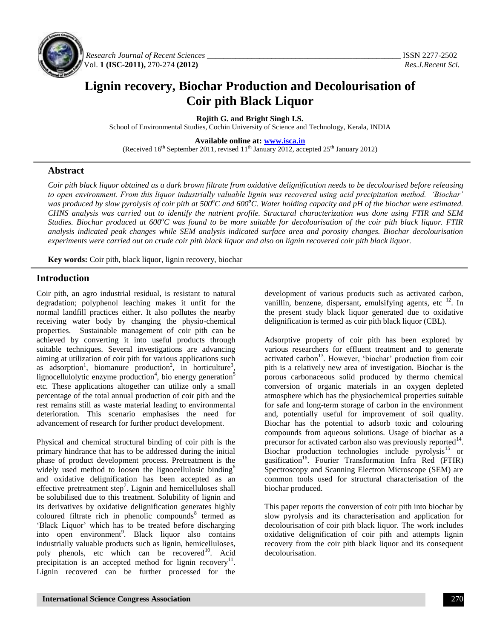

*Research Journal of Recent Sciences \_\_\_\_\_\_\_\_\_\_\_\_\_\_\_\_\_\_\_\_\_\_\_\_\_\_\_\_\_\_\_\_\_\_\_\_\_\_\_\_\_\_\_\_\_\_\_\_* ISSN 2277-2502 Vol. **1 (ISC-2011),** 270-274 **(2012)** *Res.J.Recent Sci.*

# **Lignin recovery, Biochar Production and Decolourisation of Coir pith Black Liquor**

**Rojith G. and Bright Singh I.S.**

School of Environmental Studies, Cochin University of Science and Technology, Kerala, INDIA

**Available online at: [www.isca.in](http://www.isca.in/)**

(Received 16<sup>th</sup> September 2011, revised 11<sup>th</sup> January 2012, accepted 25<sup>th</sup> January 2012)

## **Abstract**

*Coir pith black liquor obtained as a dark brown filtrate from oxidative delignification needs to be decolourised before releasing to open environment. From this liquor industrially valuable lignin was recovered using acid precipitation method. 'Biochar' was produced by slow pyrolysis of coir pith at 500<sup>o</sup>C and 600<sup>o</sup>C. Water holding capacity and pH of the biochar were estimated. CHNS analysis was carried out to identify the nutrient profile. Structural characterization was done using FTIR and SEM Studies. Biochar produced at 600<sup>o</sup>C was found to be more suitable for decolourisation of the coir pith black liquor. FTIR analysis indicated peak changes while SEM analysis indicated surface area and porosity changes. Biochar decolourisation experiments were carried out on crude coir pith black liquor and also on lignin recovered coir pith black liquor.* 

**Key words:** Coir pith, black liquor, lignin recovery, biochar

## **Introduction**

Coir pith, an agro industrial residual, is resistant to natural degradation; polyphenol leaching makes it unfit for the normal landfill practices either. It also pollutes the nearby receiving water body by changing the physio-chemical properties. Sustainable management of coir pith can be achieved by converting it into useful products through suitable techniques. Several investigations are advancing aiming at utilization of coir pith for various applications such as adsorption<sup>1</sup>, biomanure production<sup>2</sup>, in horticulture<sup>3</sup>, lignocellulolytic enzyme production<sup>4</sup>, bio energy generation<sup>5</sup> etc. These applications altogether can utilize only a small percentage of the total annual production of coir pith and the rest remains still as waste material leading to environmental deterioration. This scenario emphasises the need for advancement of research for further product development.

Physical and chemical structural binding of coir pith is the primary hindrance that has to be addressed during the initial phase of product development process. Pretreatment is the widely used method to loosen the lignocellulosic binding<sup>6</sup> and oxidative delignification has been accepted as an effective pretreatment step<sup>7</sup>. Lignin and hemicelluloses shall be solubilised due to this treatment. Solubility of lignin and its derivatives by oxidative delignification generates highly coloured filtrate rich in phenolic compounds<sup>8</sup> termed as 'Black Liquor' which has to be treated before discharging into open environment<sup>9</sup>. Black liquor also contains industrially valuable products such as lignin, hemicelluloses, poly phenols, etc which can be recovered<sup>10</sup>. Acid precipitation is an accepted method for lignin recovery $11$ . Lignin recovered can be further processed for the

development of various products such as activated carbon, vanillin, benzene, dispersant, emulsifying agents, etc  $^{12}$ . In the present study black liquor generated due to oxidative delignification is termed as coir pith black liquor (CBL).

Adsorptive property of coir pith has been explored by various researchers for effluent treatment and to generate activated carbon<sup>13</sup>. However, 'biochar' production from coir pith is a relatively new area of investigation. Biochar is the porous carbonaceous solid produced by thermo chemical conversion of organic materials in an oxygen depleted atmosphere which has the physiochemical properties suitable for safe and long-term storage of carbon in the environment and, potentially useful for improvement of soil quality. Biochar has the potential to adsorb toxic and colouring compounds from aqueous solutions. Usage of biochar as a precursor for activated carbon also was previously reported $14$ . Biochar production technologies include pyrolysis<sup>15</sup> or gasification<sup>16</sup>. Fourier Transformation Infra Red (FTIR) Spectroscopy and Scanning Electron Microscope (SEM) are common tools used for structural characterisation of the biochar produced.

This paper reports the conversion of coir pith into biochar by slow pyrolysis and its characterisation and application for decolourisation of coir pith black liquor. The work includes oxidative delignification of coir pith and attempts lignin recovery from the coir pith black liquor and its consequent decolourisation.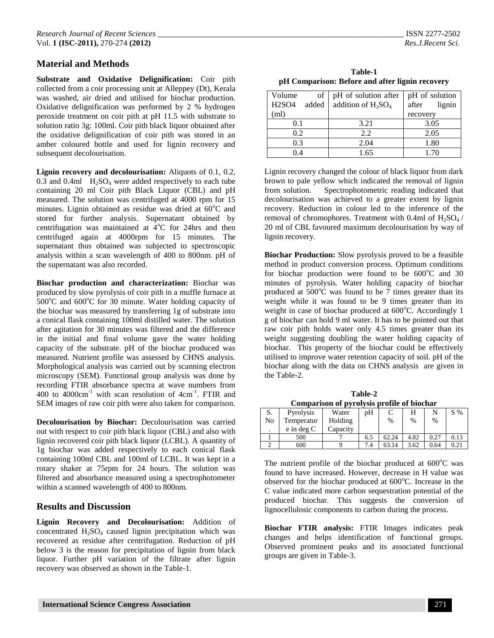**Substrate and Oxidative Delignification:** Coir pith collected from a coir processing unit at Alleppey (Dt), Kerala was washed, air dried and utilised for biochar production. Oxidative delignification was performed by 2 % hydrogen peroxide treatment on coir pith at pH 11.5 with substrate to solution ratio 3g: 100ml. Coir pith black liquor obtained after the oxidative delignification of coir pith was stored in an amber coloured bottle and used for lignin recovery and subsequent decolourisation.

**Lignin recovery and decolourisation:** Aliquots of 0.1, 0.2, 0.3 and 0.4ml  $H<sub>2</sub>SO<sub>4</sub>$  were added respectively to each tube containing 20 ml Coir pith Black Liquor (CBL) and pH measured. The solution was centrifuged at 4000 rpm for 15 minutes. Lignin obtained as residue was dried at  $60^{\circ}$ C and stored for further analysis. Supernatant obtained by centrifugation was maintained at  $4^{\circ}$ C for 24hrs and then centrifuged again at 4000rpm for 15 minutes. The supernatant thus obtained was subjected to spectroscopic analysis within a scan wavelength of 400 to 800nm. pH of the supernatant was also recorded.

**Biochar production and characterization:** Biochar was produced by slow pyrolysis of coir pith in a muffle furnace at  $500^{\circ}$ C and  $600^{\circ}$ C for 30 minute. Water holding capacity of the biochar was measured by transferring 1g of substrate into a conical flask containing 100ml distilled water. The solution after agitation for 30 minutes was filtered and the difference in the initial and final volume gave the water holding capacity of the substrate. pH of the biochar produced was measured. Nutrient profile was assessed by CHNS analysis. Morphological analysis was carried out by scanning electron microscopy (SEM). Functional group analysis was done by recording FTIR absorbance spectra at wave numbers from 400 to  $4000 \text{cm}^{-1}$  with scan resolution of  $4 \text{cm}^{-1}$ . FTIR and SEM images of raw coir pith were also taken for comparison.

**Decolourisation by Biochar:** Decolourisation was carried out with respect to coir pith black liquor (CBL) and also with lignin recovered coir pith black liquor (LCBL). A quantity of 1g biochar was added respectively to each conical flask containing 100ml CBL and 100ml of LCBL. It was kept in a rotary shaker at 75rpm for 24 hours. The solution was filtered and absorbance measured using a spectrophotometer within a scanned wavelength of 400 to 800nm.

## **Results and Discussion**

**Lignin Recovery and Decolourisation:** Addition of concentrated  $H<sub>2</sub>SO<sub>4</sub>$  caused lignin precipitation which was recovered as residue after centrifugation. Reduction of pH below 3 is the reason for precipitation of lignin from black liquor. Further pH variation of the filtrate after lignin recovery was observed as shown in the Table-1.

| Table-1                                         |
|-------------------------------------------------|
| pH Comparison: Before and after lignin recovery |

| Volume<br>of<br><b>H2SO4</b><br>added | pH of solution after<br>addition of $H_2SO_4$ | pH of solution<br>after<br>lignin |  |  |
|---------------------------------------|-----------------------------------------------|-----------------------------------|--|--|
| (ml)                                  |                                               | recovery                          |  |  |
| 0.1                                   | 3.21                                          | 3.05                              |  |  |
| 0.2                                   | 2.2                                           | 2.05                              |  |  |
| 0.3                                   | 2.04                                          | 1.80                              |  |  |
| በ 4                                   | 1.65                                          | 1.70                              |  |  |

Lignin recovery changed the colour of black liquor from dark brown to pale yellow which indicated the removal of lignin from solution. Spectrophotometric reading indicated that decolourisation was achieved to a greater extent by lignin recovery. Reduction in colour led to the inference of the removal of chromophores. Treatment with 0.4ml of  $H_2SO_4$  / 20 ml of CBL favoured maximum decolourisation by way of lignin recovery.

**Biochar Production:** Slow pyrolysis proved to be a feasible method in product conversion process. Optimum conditions for biochar production were found to be  $600^{\circ}$ C and 30 minutes of pyrolysis. Water holding capacity of biochar produced at  $500^{\circ}$ C was found to be 7 times greater than its weight while it was found to be 9 times greater than its weight in case of biochar produced at 600°C. Accordingly 1 g of biochar can hold 9 ml water. It has to be pointed out that raw coir pith holds water only 4.5 times greater than its weight suggesting doubling the water holding capacity of biochar. This property of the biochar could be effectively utilised to improve water retention capacity of soil. pH of the biochar along with the data on CHNS analysis are given in the Table-2.

| Table-2                                    |
|--------------------------------------------|
| Comparison of pyrolysis profile of biochar |

| S. | Pyrolysis    | Water    | pΗ  |       |      |      | $S\%$ |
|----|--------------|----------|-----|-------|------|------|-------|
| No | Temperatur   | Holding  |     | %     | %    | $\%$ |       |
|    | $e$ in deg C | Capacity |     |       |      |      |       |
|    | 500          |          | 6.5 | 62.24 | 4.82 | 0.27 | 0.13  |
|    | 600          |          | 7.4 | 63.14 | 3.62 | 0.64 | 0.21  |

The nutrient profile of the biochar produced at  $600^{\circ}$ C was found to have increased. However, decrease in H value was observed for the biochar produced at  $600^{\circ}$ C. Increase in the C value indicated more carbon sequestration potential of the produced biochar. This suggests the conversion of lignocellulosic components to carbon during the process.

**Biochar FTIR analysis:** FTIR Images indicates peak changes and helps identification of functional groups. Observed prominent peaks and its associated functional groups are given in Table-3.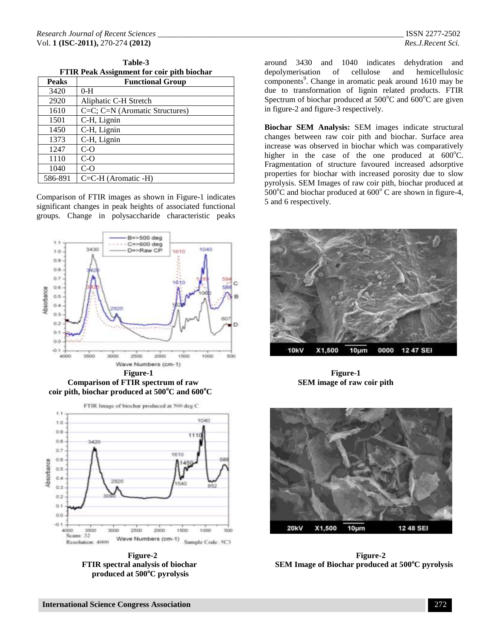**Table-3 FTIR Peak Assignment for coir pith biochar**

| 1 11R I Can Hook Millene for Coll pren offered |                                     |  |  |
|------------------------------------------------|-------------------------------------|--|--|
| <b>Peaks</b>                                   | <b>Functional Group</b>             |  |  |
| 3420                                           | $0-H$                               |  |  |
| 2920                                           | Aliphatic C-H Stretch               |  |  |
| 1610                                           | $C=C$ ; $C=N$ (Aromatic Structures) |  |  |
| 1501                                           | C-H, Lignin                         |  |  |
| 1450                                           | C-H, Lignin                         |  |  |
| 1373                                           | C-H, Lignin                         |  |  |
| 1247                                           | $C-O$                               |  |  |
| 1110                                           | $C-O$                               |  |  |
| 1040                                           | $C-O$                               |  |  |
| 586-891                                        | $C=C-H$ (Aromatic -H)               |  |  |

Comparison of FTIR images as shown in Figure-1 indicates significant changes in peak heights of associated functional groups. Change in polysaccharide characteristic peaks



**Comparison of FTIR spectrum of raw SEM image of raw coir pith coir pith, biochar produced at 500<sup>o</sup>C and 600<sup>o</sup>C**



 **produced at 500<sup>o</sup>C pyrolysis**

around 3430 and 1040 indicates dehydration and depolymerisation of cellulose and hemicellulosic components<sup>9</sup>. Change in aromatic peak around 1610 may be due to transformation of lignin related products. FTIR Spectrum of biochar produced at  $500^{\circ}$ C and  $600^{\circ}$ C are given in figure-2 and figure-3 respectively.

**Biochar SEM Analysis:** SEM images indicate structural changes between raw coir pith and biochar. Surface area increase was observed in biochar which was comparatively higher in the case of the one produced at  $600^{\circ}$ C. Fragmentation of structure favoured increased adsorptive properties for biochar with increased porosity due to slow pyrolysis. SEM Images of raw coir pith, biochar produced at  $500^{\circ}$ C and biochar produced at  $600^{\circ}$ C are shown in figure-4, 5 and 6 respectively.





 **Figure-2 Figure-2 FTIR spectral analysis of biochar SEM Image of Biochar produced at 500<sup>o</sup>C pyrolysis**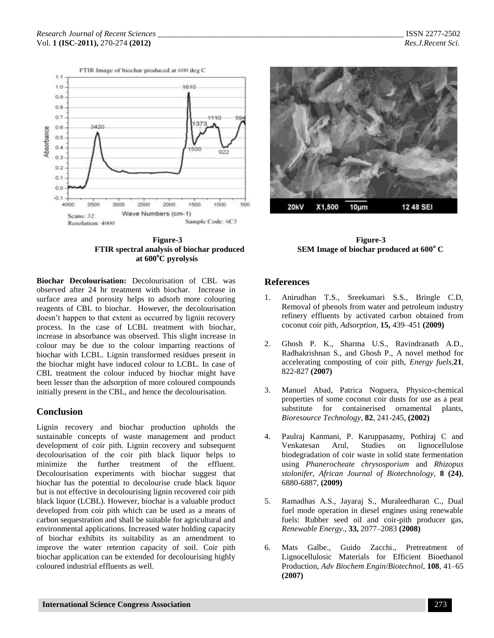



**Biochar Decolourisation:** Decolourisation of CBL was observed after 24 hr treatment with biochar. Increase in surface area and porosity helps to adsorb more colouring reagents of CBL to biochar. However, the decolourisation doesn't happen to that extent as occurred by lignin recovery process. In the case of LCBL treatment with biochar, increase in absorbance was observed. This slight increase in colour may be due to the colour imparting reactions of biochar with LCBL. Lignin transformed residues present in the biochar might have induced colour to LCBL. In case of CBL treatment the colour induced by biochar might have been lesser than the adsorption of more coloured compounds initially present in the CBL, and hence the decolourisation.

## **Conclusion**

Lignin recovery and biochar production upholds the sustainable concepts of waste management and product development of coir pith. Lignin recovery and subsequent decolourisation of the coir pith black liquor helps to minimize the further treatment of the effluent. Decolourisation experiments with biochar suggest that biochar has the potential to decolourise crude black liquor but is not effective in decolourising lignin recovered coir pith black liquor (LCBL). However, biochar is a valuable product developed from coir pith which can be used as a means of carbon sequestration and shall be suitable for agricultural and environmental applications. Increased water holding capacity of biochar exhibits its suitability as an amendment to improve the water retention capacity of soil. Coir pith biochar application can be extended for decolourising highly coloured industrial effluents as well.



### **References**

- 1. Anirudhan T.S., Sreekumari S.S., Bringle C.D, Removal of phenols from water and petroleum industry refinery effluents by activated carbon obtained from coconut coir pith, *Adsorption*, **15,** 439–451 **(2009)**
- 2. Ghosh P. K., Sharma U.S., Ravindranath A.D., Radhakrishnan S., and Ghosh P., A novel method for accelerating composting of coir pith, *Energy fuels*,**21**, 822-827 **(2007)**
- 3. Manuel Abad, Patrica Noguera, Physico-chemical properties of some coconut coir dusts for use as a peat substitute for containerised ornamental plants, *Bioresource Technology*, **82**, 241-245, **(2002)**
- 4. Paulraj Kanmani, P. Karuppasamy, Pothiraj C and Venkatesan Arul, Studies on lignocellulose biodegradation of coir waste in solid state fermentation using *Phanerocheate chrysosporium* and *Rhizopus stolonifer, African Journal of Biotechnology*, **8 (24)**, 6880-6887, **(2009)**
- 5. Ramadhas A.S., Jayaraj S., Muraleedharan C., Dual fuel mode operation in diesel engines using renewable fuels: Rubber seed oil and coir-pith producer gas, *Renewable Energy*., **33,** 2077–2083 **(2008)**
- 6. Mats Galbe., Guido Zacchi., Pretreatment of Lignocellulosic Materials for Efficient Bioethanol Production, *Adv Biochem Engin/Biotechnol*, **108**, 41–65 **(2007)**